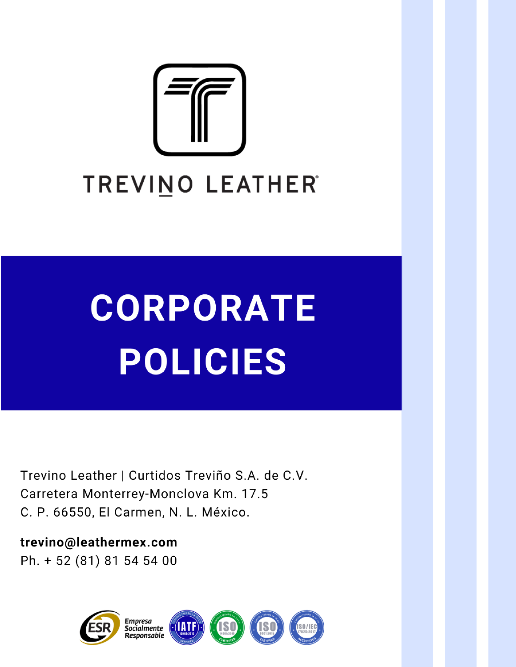

# **CORPORATE POLICIES**

Trevino Leather | Curtidos Treviño S.A. de C.V. Carretera Monterrey-Monclova Km. 17.5 C. P. 66550, El Carmen, N. L. México.

trevino@leathermex.com Ph. + 52 (81) 81 54 54 00

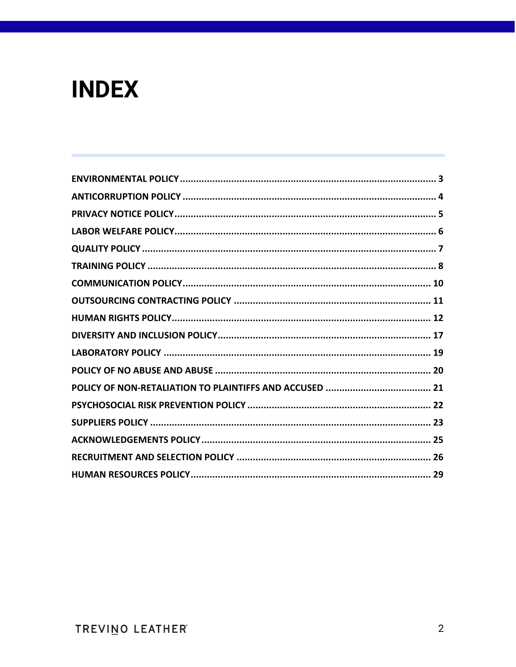# **INDEX**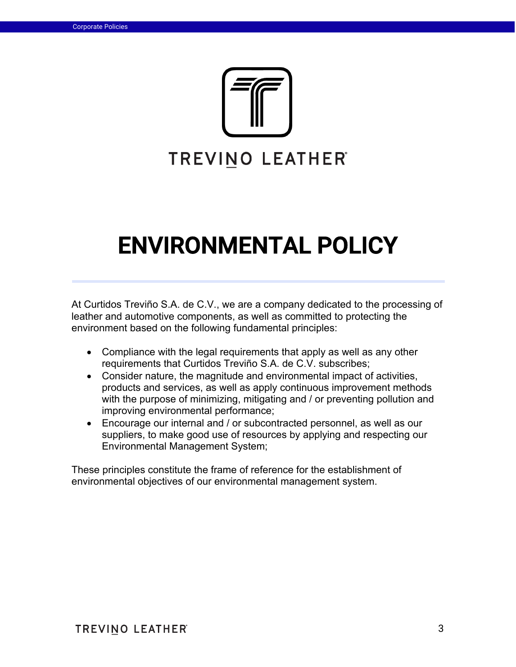

# ENVIRONMENTAL POLICY

At Curtidos Treviño S.A. de C.V., we are a company dedicated to the processing of leather and automotive components, as well as committed to protecting the environment based on the following fundamental principles:

- Compliance with the legal requirements that apply as well as any other requirements that Curtidos Treviño S.A. de C.V. subscribes;
- Consider nature, the magnitude and environmental impact of activities, products and services, as well as apply continuous improvement methods with the purpose of minimizing, mitigating and / or preventing pollution and improving environmental performance;
- Encourage our internal and / or subcontracted personnel, as well as our suppliers, to make good use of resources by applying and respecting our Environmental Management System;

These principles constitute the frame of reference for the establishment of environmental objectives of our environmental management system.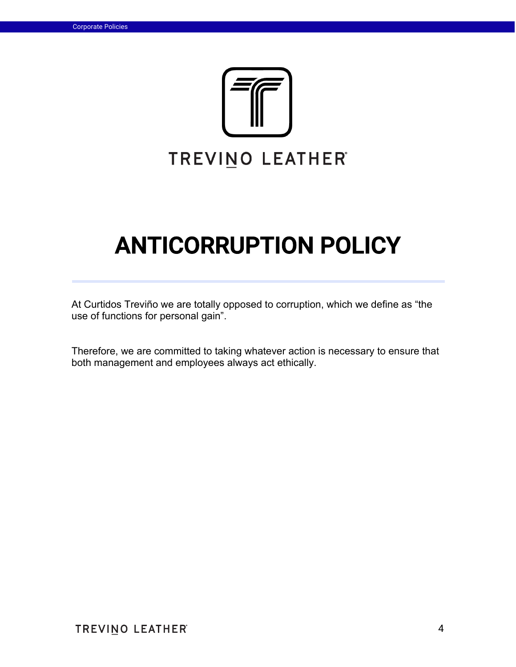

# ANTICORRUPTION POLICY

At Curtidos Treviño we are totally opposed to corruption, which we define as "the use of functions for personal gain".

Therefore, we are committed to taking whatever action is necessary to ensure that both management and employees always act ethically.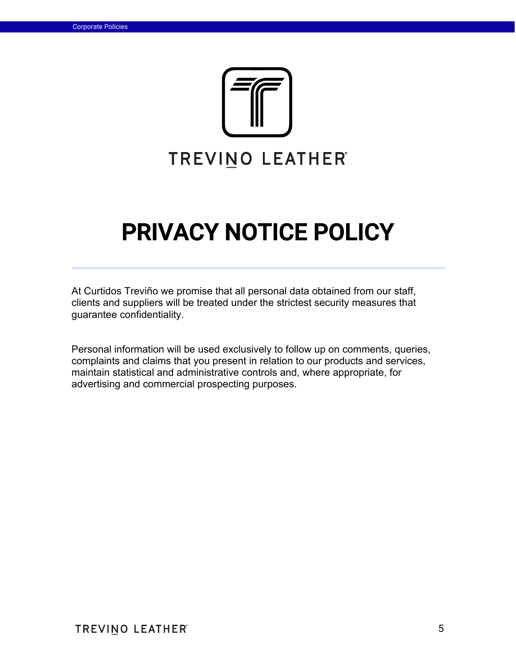

# PRIVACY NOTICE POLICY

At Curtidos Treviño we promise that all personal data obtained from our staff, clients and suppliers will be treated under the strictest security measures that guarantee confidentiality.

Personal information will be used exclusively to follow up on comments, queries, complaints and claims that you present in relation to our products and services, maintain statistical and administrative controls and, where appropriate, for advertising and commercial prospecting purposes.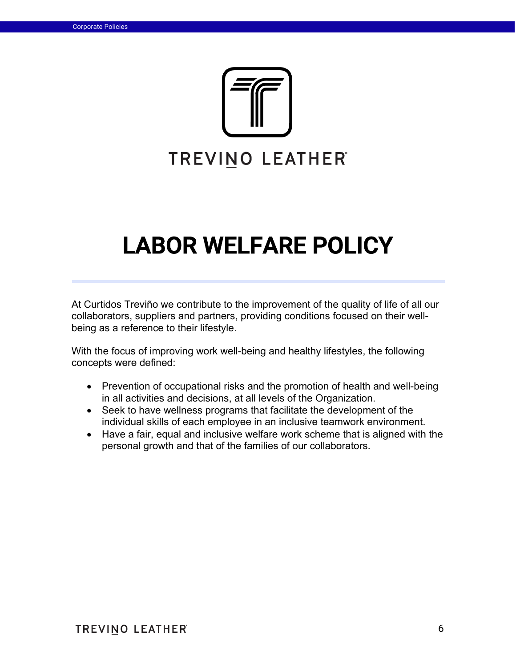

# LABOR WELFARE POLICY

At Curtidos Treviño we contribute to the improvement of the quality of life of all our collaborators, suppliers and partners, providing conditions focused on their wellbeing as a reference to their lifestyle.

With the focus of improving work well-being and healthy lifestyles, the following concepts were defined:

- Prevention of occupational risks and the promotion of health and well-being in all activities and decisions, at all levels of the Organization.
- Seek to have wellness programs that facilitate the development of the individual skills of each employee in an inclusive teamwork environment.
- Have a fair, equal and inclusive welfare work scheme that is aligned with the personal growth and that of the families of our collaborators.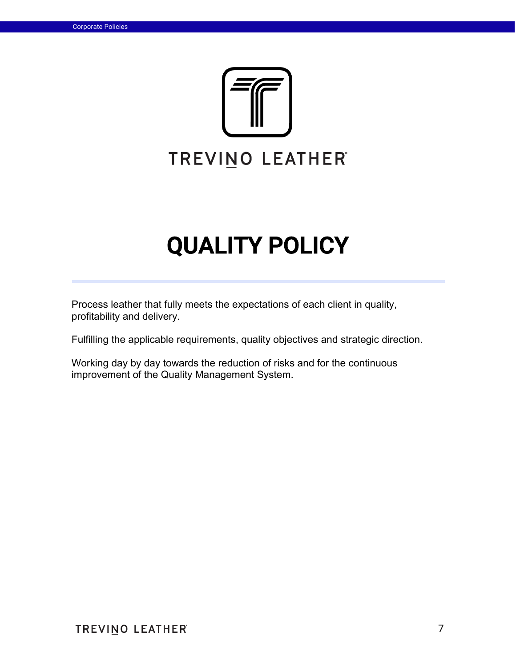

# QUALITY POLICY

Process leather that fully meets the expectations of each client in quality, profitability and delivery.

Fulfilling the applicable requirements, quality objectives and strategic direction.

Working day by day towards the reduction of risks and for the continuous improvement of the Quality Management System.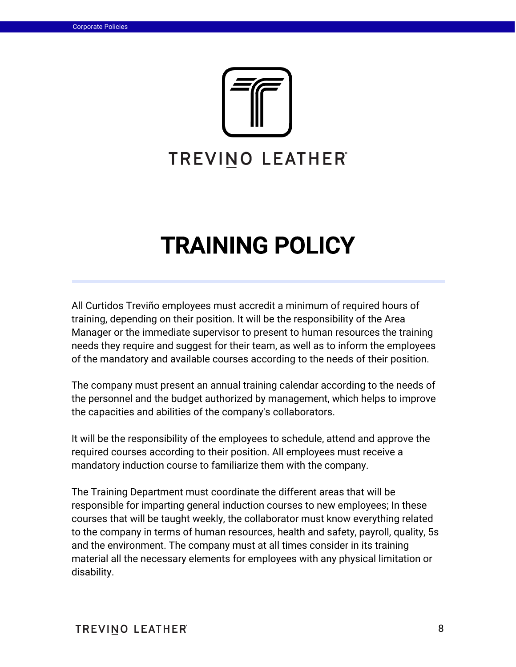

# TRAINING POLICY

All Curtidos Treviño employees must accredit a minimum of required hours of training, depending on their position. It will be the responsibility of the Area Manager or the immediate supervisor to present to human resources the training needs they require and suggest for their team, as well as to inform the employees of the mandatory and available courses according to the needs of their position.

The company must present an annual training calendar according to the needs of the personnel and the budget authorized by management, which helps to improve the capacities and abilities of the company's collaborators.

It will be the responsibility of the employees to schedule, attend and approve the required courses according to their position. All employees must receive a mandatory induction course to familiarize them with the company.

The Training Department must coordinate the different areas that will be responsible for imparting general induction courses to new employees; In these courses that will be taught weekly, the collaborator must know everything related to the company in terms of human resources, health and safety, payroll, quality, 5s and the environment. The company must at all times consider in its training material all the necessary elements for employees with any physical limitation or disability.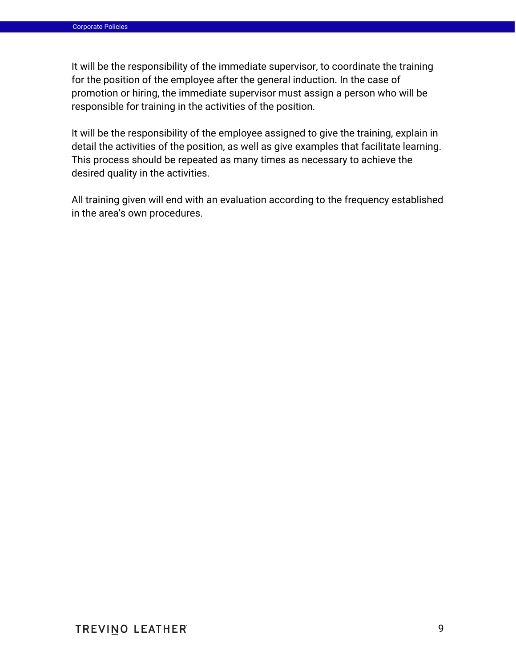It will be the responsibility of the immediate supervisor, to coordinate the training for the position of the employee after the general induction. In the case of promotion or hiring, the immediate supervisor must assign a person who will be responsible for training in the activities of the position.

It will be the responsibility of the employee assigned to give the training, explain in detail the activities of the position, as well as give examples that facilitate learning. This process should be repeated as many times as necessary to achieve the desired quality in the activities.

All training given will end with an evaluation according to the frequency established in the area's own procedures.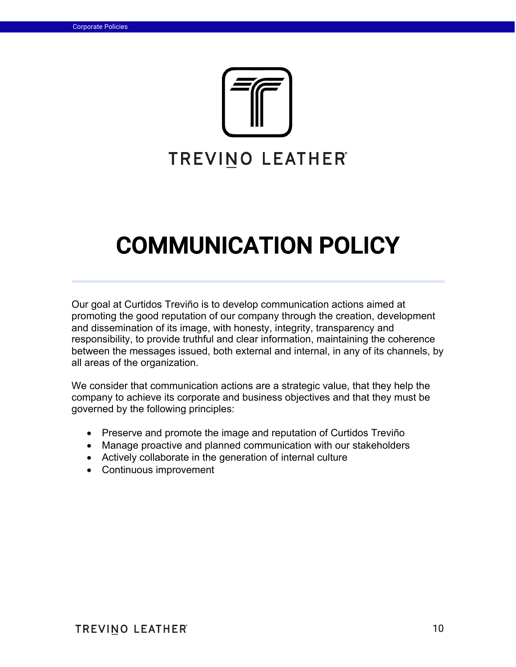

# COMMUNICATION POLICY

Our goal at Curtidos Treviño is to develop communication actions aimed at promoting the good reputation of our company through the creation, development and dissemination of its image, with honesty, integrity, transparency and responsibility, to provide truthful and clear information, maintaining the coherence between the messages issued, both external and internal, in any of its channels, by all areas of the organization.

We consider that communication actions are a strategic value, that they help the company to achieve its corporate and business objectives and that they must be governed by the following principles:

- Preserve and promote the image and reputation of Curtidos Treviño
- Manage proactive and planned communication with our stakeholders
- Actively collaborate in the generation of internal culture
- Continuous improvement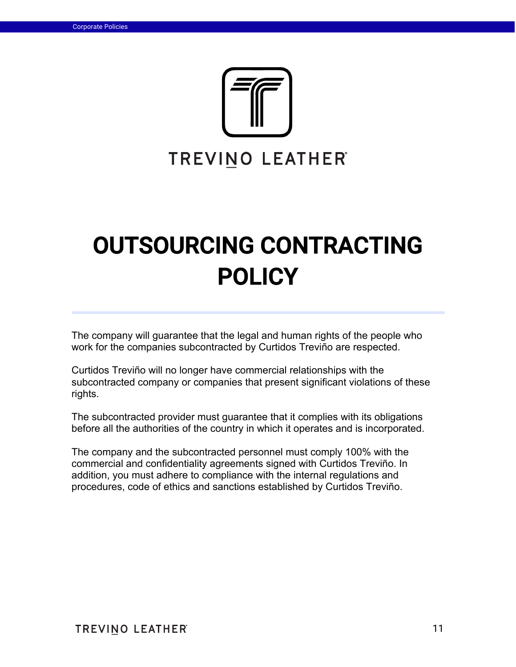

# OUTSOURCING CONTRACTING **POLICY**

The company will guarantee that the legal and human rights of the people who work for the companies subcontracted by Curtidos Treviño are respected.

Curtidos Treviño will no longer have commercial relationships with the subcontracted company or companies that present significant violations of these rights.

The subcontracted provider must guarantee that it complies with its obligations before all the authorities of the country in which it operates and is incorporated.

The company and the subcontracted personnel must comply 100% with the commercial and confidentiality agreements signed with Curtidos Treviño. In addition, you must adhere to compliance with the internal regulations and procedures, code of ethics and sanctions established by Curtidos Treviño.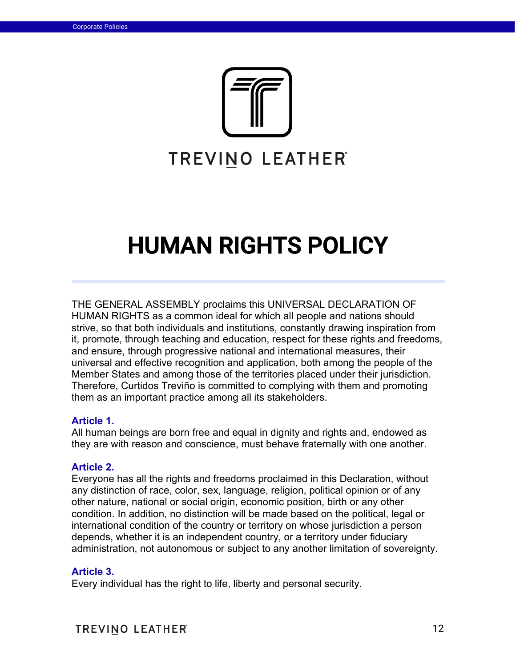

# HUMAN RIGHTS POLICY

THE GENERAL ASSEMBLY proclaims this UNIVERSAL DECLARATION OF HUMAN RIGHTS as a common ideal for which all people and nations should strive, so that both individuals and institutions, constantly drawing inspiration from it, promote, through teaching and education, respect for these rights and freedoms, and ensure, through progressive national and international measures, their universal and effective recognition and application, both among the people of the Member States and among those of the territories placed under their jurisdiction. Therefore, Curtidos Treviño is committed to complying with them and promoting them as an important practice among all its stakeholders.

### **Article 1.**

All human beings are born free and equal in dignity and rights and, endowed as they are with reason and conscience, must behave fraternally with one another.

### **Article 2.**

Everyone has all the rights and freedoms proclaimed in this Declaration, without any distinction of race, color, sex, language, religion, political opinion or of any other nature, national or social origin, economic position, birth or any other condition. In addition, no distinction will be made based on the political, legal or international condition of the country or territory on whose jurisdiction a person depends, whether it is an independent country, or a territory under fiduciary administration, not autonomous or subject to any another limitation of sovereignty.

#### **Article 3.**

Every individual has the right to life, liberty and personal security.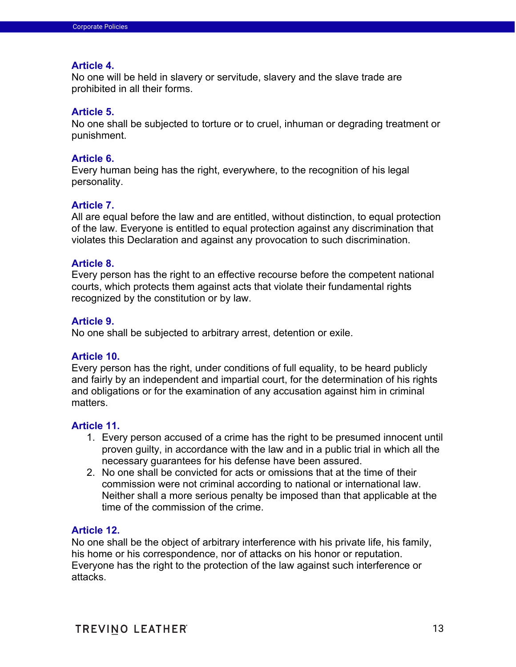#### **Article 4.**

No one will be held in slavery or servitude, slavery and the slave trade are prohibited in all their forms.

### **Article 5.**

No one shall be subjected to torture or to cruel, inhuman or degrading treatment or punishment.

### **Article 6.**

Every human being has the right, everywhere, to the recognition of his legal personality.

### **Article 7.**

All are equal before the law and are entitled, without distinction, to equal protection of the law. Everyone is entitled to equal protection against any discrimination that violates this Declaration and against any provocation to such discrimination.

### **Article 8.**

Every person has the right to an effective recourse before the competent national courts, which protects them against acts that violate their fundamental rights recognized by the constitution or by law.

### **Article 9.**

No one shall be subjected to arbitrary arrest, detention or exile.

### **Article 10.**

Every person has the right, under conditions of full equality, to be heard publicly and fairly by an independent and impartial court, for the determination of his rights and obligations or for the examination of any accusation against him in criminal matters.

### **Article 11.**

- 1. Every person accused of a crime has the right to be presumed innocent until proven guilty, in accordance with the law and in a public trial in which all the necessary guarantees for his defense have been assured.
- 2. No one shall be convicted for acts or omissions that at the time of their commission were not criminal according to national or international law. Neither shall a more serious penalty be imposed than that applicable at the time of the commission of the crime.

### **Article 12.**

No one shall be the object of arbitrary interference with his private life, his family, his home or his correspondence, nor of attacks on his honor or reputation. Everyone has the right to the protection of the law against such interference or attacks.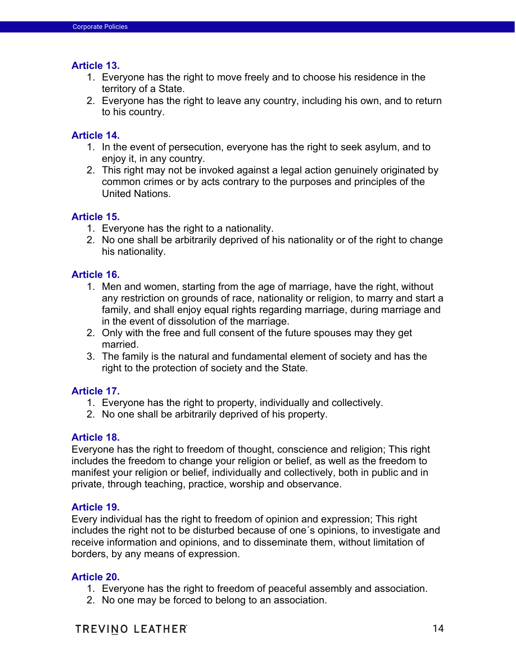### **Article 13.**

- 1. Everyone has the right to move freely and to choose his residence in the territory of a State.
- 2. Everyone has the right to leave any country, including his own, and to return to his country.

# **Article 14.**

- 1. In the event of persecution, everyone has the right to seek asylum, and to enjoy it, in any country.
- 2. This right may not be invoked against a legal action genuinely originated by common crimes or by acts contrary to the purposes and principles of the United Nations.

# **Article 15.**

- 1. Everyone has the right to a nationality.
- 2. No one shall be arbitrarily deprived of his nationality or of the right to change his nationality.

## **Article 16.**

- 1. Men and women, starting from the age of marriage, have the right, without any restriction on grounds of race, nationality or religion, to marry and start a family, and shall enjoy equal rights regarding marriage, during marriage and in the event of dissolution of the marriage.
- 2. Only with the free and full consent of the future spouses may they get married.
- 3. The family is the natural and fundamental element of society and has the right to the protection of society and the State.

## **Article 17.**

- 1. Everyone has the right to property, individually and collectively.
- 2. No one shall be arbitrarily deprived of his property.

## **Article 18.**

Everyone has the right to freedom of thought, conscience and religion; This right includes the freedom to change your religion or belief, as well as the freedom to manifest your religion or belief, individually and collectively, both in public and in private, through teaching, practice, worship and observance.

## **Article 19.**

Every individual has the right to freedom of opinion and expression; This right includes the right not to be disturbed because of one´s opinions, to investigate and receive information and opinions, and to disseminate them, without limitation of borders, by any means of expression.

## **Article 20.**

- 1. Everyone has the right to freedom of peaceful assembly and association.
- 2. No one may be forced to belong to an association.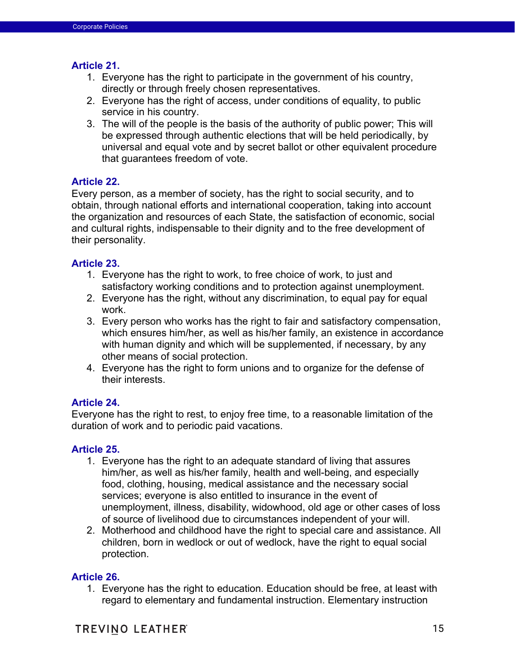### **Article 21.**

- 1. Everyone has the right to participate in the government of his country, directly or through freely chosen representatives.
- 2. Everyone has the right of access, under conditions of equality, to public service in his country.
- 3. The will of the people is the basis of the authority of public power; This will be expressed through authentic elections that will be held periodically, by universal and equal vote and by secret ballot or other equivalent procedure that guarantees freedom of vote.

### **Article 22.**

Every person, as a member of society, has the right to social security, and to obtain, through national efforts and international cooperation, taking into account the organization and resources of each State, the satisfaction of economic, social and cultural rights, indispensable to their dignity and to the free development of their personality.

### **Article 23.**

- 1. Everyone has the right to work, to free choice of work, to just and satisfactory working conditions and to protection against unemployment.
- 2. Everyone has the right, without any discrimination, to equal pay for equal work.
- 3. Every person who works has the right to fair and satisfactory compensation, which ensures him/her, as well as his/her family, an existence in accordance with human dignity and which will be supplemented, if necessary, by any other means of social protection.
- 4. Everyone has the right to form unions and to organize for the defense of their interests.

## **Article 24.**

Everyone has the right to rest, to enjoy free time, to a reasonable limitation of the duration of work and to periodic paid vacations.

### **Article 25.**

- 1. Everyone has the right to an adequate standard of living that assures him/her, as well as his/her family, health and well-being, and especially food, clothing, housing, medical assistance and the necessary social services; everyone is also entitled to insurance in the event of unemployment, illness, disability, widowhood, old age or other cases of loss of source of livelihood due to circumstances independent of your will.
- 2. Motherhood and childhood have the right to special care and assistance. All children, born in wedlock or out of wedlock, have the right to equal social protection.

### **Article 26.**

1. Everyone has the right to education. Education should be free, at least with regard to elementary and fundamental instruction. Elementary instruction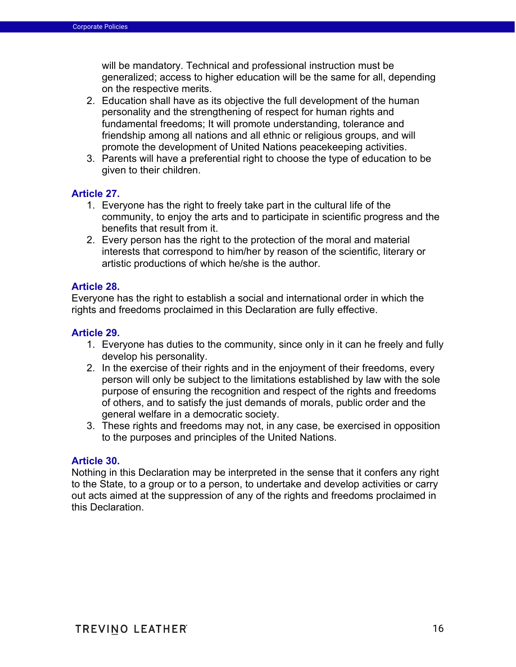will be mandatory. Technical and professional instruction must be generalized; access to higher education will be the same for all, depending on the respective merits.

- 2. Education shall have as its objective the full development of the human personality and the strengthening of respect for human rights and fundamental freedoms; It will promote understanding, tolerance and friendship among all nations and all ethnic or religious groups, and will promote the development of United Nations peacekeeping activities.
- 3. Parents will have a preferential right to choose the type of education to be given to their children.

## **Article 27.**

- 1. Everyone has the right to freely take part in the cultural life of the community, to enjoy the arts and to participate in scientific progress and the benefits that result from it.
- 2. Every person has the right to the protection of the moral and material interests that correspond to him/her by reason of the scientific, literary or artistic productions of which he/she is the author.

### **Article 28.**

Everyone has the right to establish a social and international order in which the rights and freedoms proclaimed in this Declaration are fully effective.

## **Article 29.**

- 1. Everyone has duties to the community, since only in it can he freely and fully develop his personality.
- 2. In the exercise of their rights and in the enjoyment of their freedoms, every person will only be subject to the limitations established by law with the sole purpose of ensuring the recognition and respect of the rights and freedoms of others, and to satisfy the just demands of morals, public order and the general welfare in a democratic society.
- 3. These rights and freedoms may not, in any case, be exercised in opposition to the purposes and principles of the United Nations.

### **Article 30.**

Nothing in this Declaration may be interpreted in the sense that it confers any right to the State, to a group or to a person, to undertake and develop activities or carry out acts aimed at the suppression of any of the rights and freedoms proclaimed in this Declaration.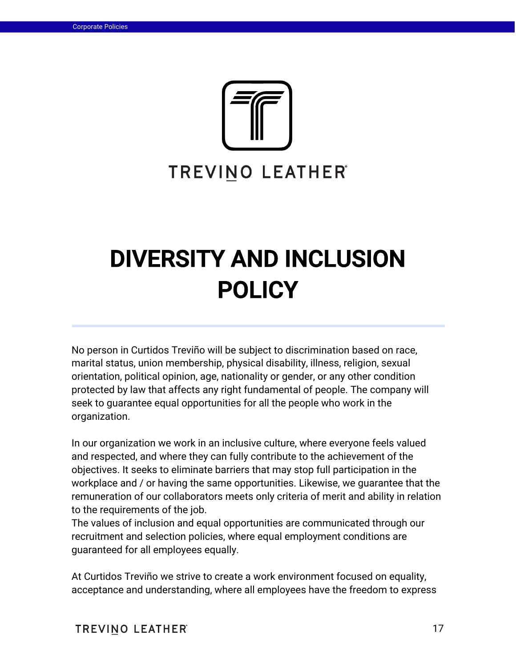

# DIVERSITY AND INCLUSION POLICY

No person in Curtidos Treviño will be subject to discrimination based on race, marital status, union membership, physical disability, illness, religion, sexual orientation, political opinion, age, nationality or gender, or any other condition protected by law that affects any right fundamental of people. The company will seek to guarantee equal opportunities for all the people who work in the organization.

In our organization we work in an inclusive culture, where everyone feels valued and respected, and where they can fully contribute to the achievement of the objectives. It seeks to eliminate barriers that may stop full participation in the workplace and / or having the same opportunities. Likewise, we guarantee that the remuneration of our collaborators meets only criteria of merit and ability in relation to the requirements of the job.

The values of inclusion and equal opportunities are communicated through our recruitment and selection policies, where equal employment conditions are guaranteed for all employees equally.

At Curtidos Treviño we strive to create a work environment focused on equality, acceptance and understanding, where all employees have the freedom to express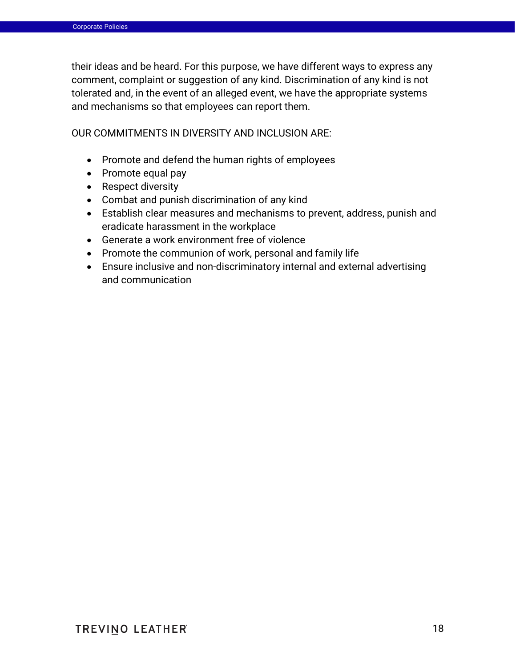their ideas and be heard. For this purpose, we have different ways to express any comment, complaint or suggestion of any kind. Discrimination of any kind is not tolerated and, in the event of an alleged event, we have the appropriate systems and mechanisms so that employees can report them.

OUR COMMITMENTS IN DIVERSITY AND INCLUSION ARE:

- Promote and defend the human rights of employees
- Promote equal pay
- Respect diversity
- Combat and punish discrimination of any kind
- Establish clear measures and mechanisms to prevent, address, punish and eradicate harassment in the workplace
- Generate a work environment free of violence
- Promote the communion of work, personal and family life
- Ensure inclusive and non-discriminatory internal and external advertising and communication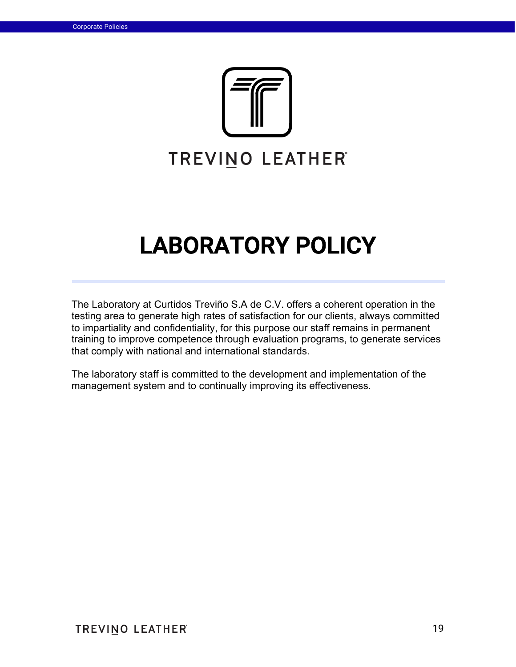

# LABORATORY POLICY

The Laboratory at Curtidos Treviño S.A de C.V. offers a coherent operation in the testing area to generate high rates of satisfaction for our clients, always committed to impartiality and confidentiality, for this purpose our staff remains in permanent training to improve competence through evaluation programs, to generate services that comply with national and international standards.

The laboratory staff is committed to the development and implementation of the management system and to continually improving its effectiveness.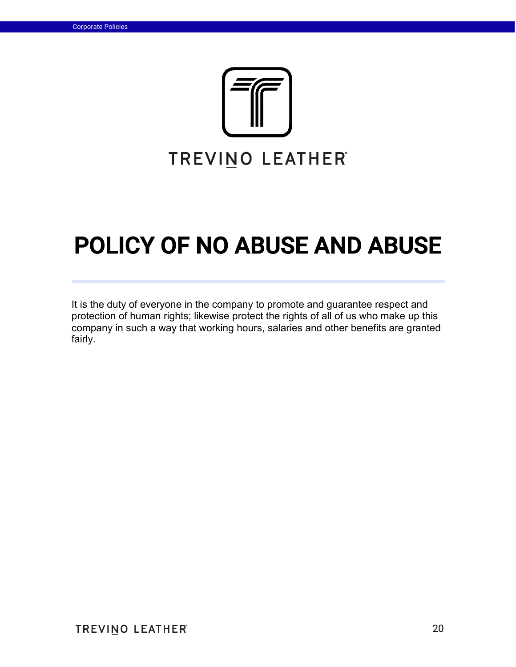

# POLICY OF NO ABUSE AND ABUSE

It is the duty of everyone in the company to promote and guarantee respect and protection of human rights; likewise protect the rights of all of us who make up this company in such a way that working hours, salaries and other benefits are granted fairly.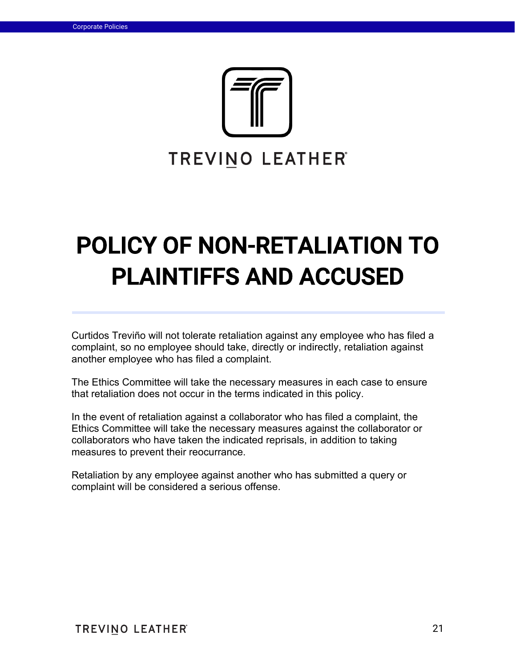

# POLICY OF NON-RETALIATION TO PLAINTIFFS AND ACCUSED

Curtidos Treviño will not tolerate retaliation against any employee who has filed a complaint, so no employee should take, directly or indirectly, retaliation against another employee who has filed a complaint.

The Ethics Committee will take the necessary measures in each case to ensure that retaliation does not occur in the terms indicated in this policy.

In the event of retaliation against a collaborator who has filed a complaint, the Ethics Committee will take the necessary measures against the collaborator or collaborators who have taken the indicated reprisals, in addition to taking measures to prevent their reocurrance.

Retaliation by any employee against another who has submitted a query or complaint will be considered a serious offense.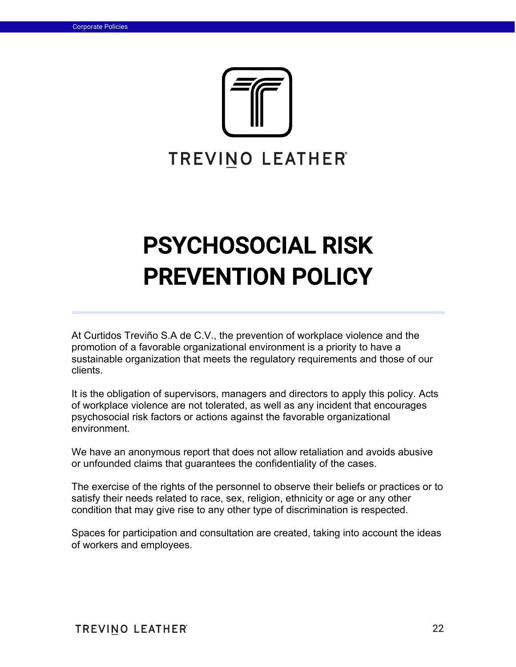

# PSYCHOSOCIAL RISK PREVENTION POLICY

At Curtidos Treviño S.A de C.V., the prevention of workplace violence and the promotion of a favorable organizational environment is a priority to have a sustainable organization that meets the regulatory requirements and those of our clients.

It is the obligation of supervisors, managers and directors to apply this policy. Acts of workplace violence are not tolerated, as well as any incident that encourages psychosocial risk factors or actions against the favorable organizational environment.

We have an anonymous report that does not allow retaliation and avoids abusive or unfounded claims that guarantees the confidentiality of the cases.

The exercise of the rights of the personnel to observe their beliefs or practices or to satisfy their needs related to race, sex, religion, ethnicity or age or any other condition that may give rise to any other type of discrimination is respected.

Spaces for participation and consultation are created, taking into account the ideas of workers and employees.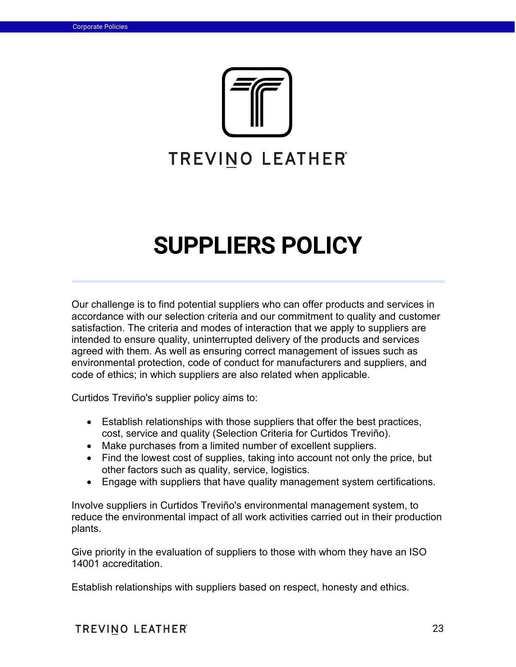

# SUPPLIERS POLICY

Our challenge is to find potential suppliers who can offer products and services in accordance with our selection criteria and our commitment to quality and customer satisfaction. The criteria and modes of interaction that we apply to suppliers are intended to ensure quality, uninterrupted delivery of the products and services agreed with them. As well as ensuring correct management of issues such as environmental protection, code of conduct for manufacturers and suppliers, and code of ethics; in which suppliers are also related when applicable.

Curtidos Treviño's supplier policy aims to:

- Establish relationships with those suppliers that offer the best practices, cost, service and quality (Selection Criteria for Curtidos Treviño).
- Make purchases from a limited number of excellent suppliers.
- Find the lowest cost of supplies, taking into account not only the price, but other factors such as quality, service, logistics.
- Engage with suppliers that have quality management system certifications.

Involve suppliers in Curtidos Treviño's environmental management system, to reduce the environmental impact of all work activities carried out in their production plants.

Give priority in the evaluation of suppliers to those with whom they have an ISO 14001 accreditation.

Establish relationships with suppliers based on respect, honesty and ethics.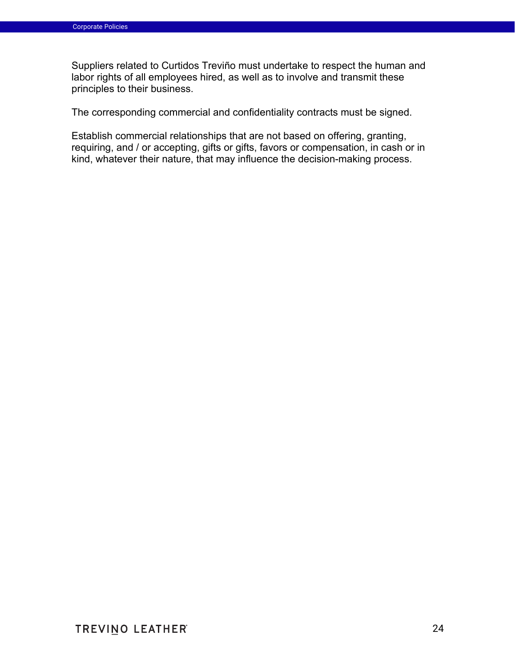Suppliers related to Curtidos Treviño must undertake to respect the human and labor rights of all employees hired, as well as to involve and transmit these principles to their business.

The corresponding commercial and confidentiality contracts must be signed.

Establish commercial relationships that are not based on offering, granting, requiring, and / or accepting, gifts or gifts, favors or compensation, in cash or in kind, whatever their nature, that may influence the decision-making process.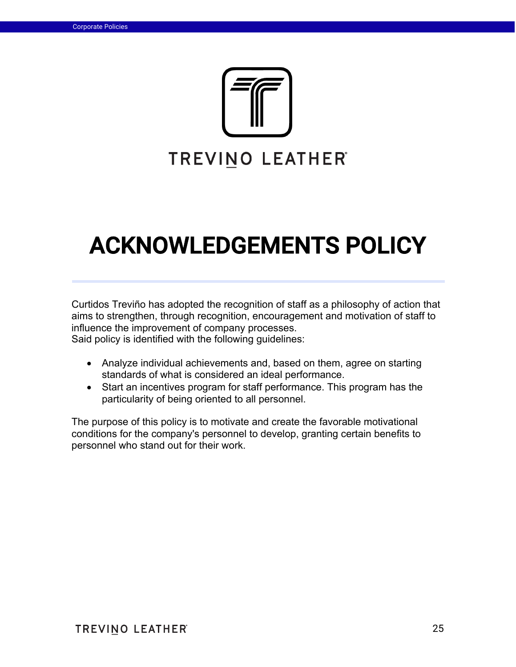

# ACKNOWLEDGEMENTS POLICY

Curtidos Treviño has adopted the recognition of staff as a philosophy of action that aims to strengthen, through recognition, encouragement and motivation of staff to influence the improvement of company processes.

Said policy is identified with the following guidelines:

- Analyze individual achievements and, based on them, agree on starting standards of what is considered an ideal performance.
- Start an incentives program for staff performance. This program has the particularity of being oriented to all personnel.

The purpose of this policy is to motivate and create the favorable motivational conditions for the company's personnel to develop, granting certain benefits to personnel who stand out for their work.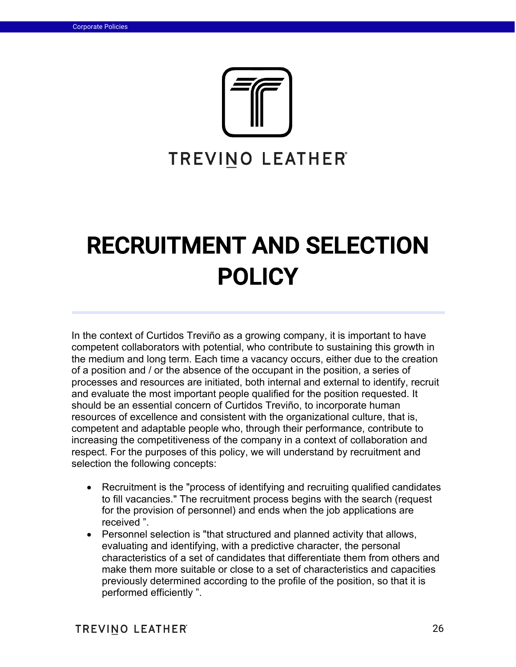

# RECRUITMENT AND SELECTION POLICY

In the context of Curtidos Treviño as a growing company, it is important to have competent collaborators with potential, who contribute to sustaining this growth in the medium and long term. Each time a vacancy occurs, either due to the creation of a position and / or the absence of the occupant in the position, a series of processes and resources are initiated, both internal and external to identify, recruit and evaluate the most important people qualified for the position requested. It should be an essential concern of Curtidos Treviño, to incorporate human resources of excellence and consistent with the organizational culture, that is, competent and adaptable people who, through their performance, contribute to increasing the competitiveness of the company in a context of collaboration and respect. For the purposes of this policy, we will understand by recruitment and selection the following concepts:

- Recruitment is the "process of identifying and recruiting qualified candidates to fill vacancies." The recruitment process begins with the search (request for the provision of personnel) and ends when the job applications are received ".
- Personnel selection is "that structured and planned activity that allows, evaluating and identifying, with a predictive character, the personal characteristics of a set of candidates that differentiate them from others and make them more suitable or close to a set of characteristics and capacities previously determined according to the profile of the position, so that it is performed efficiently ".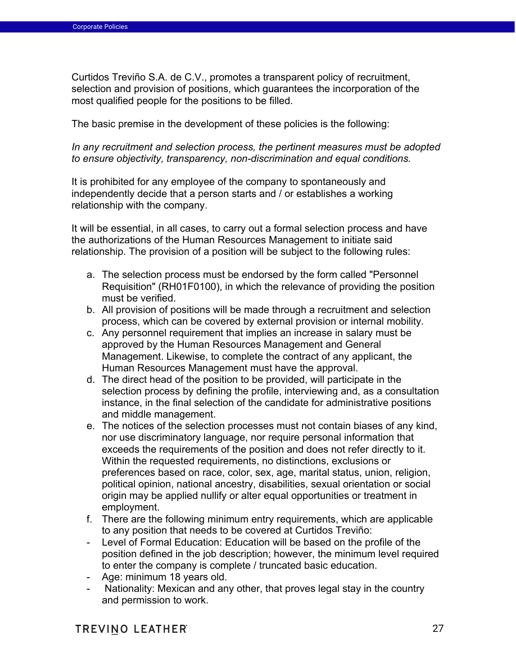Curtidos Treviño S.A. de C.V., promotes a transparent policy of recruitment, selection and provision of positions, which guarantees the incorporation of the most qualified people for the positions to be filled.

The basic premise in the development of these policies is the following:

*In any recruitment and selection process, the pertinent measures must be adopted to ensure objectivity, transparency, non-discrimination and equal conditions.*

It is prohibited for any employee of the company to spontaneously and independently decide that a person starts and / or establishes a working relationship with the company.

It will be essential, in all cases, to carry out a formal selection process and have the authorizations of the Human Resources Management to initiate said relationship. The provision of a position will be subject to the following rules:

- a. The selection process must be endorsed by the form called "Personnel Requisition" (RH01F0100), in which the relevance of providing the position must be verified.
- b. All provision of positions will be made through a recruitment and selection process, which can be covered by external provision or internal mobility.
- c. Any personnel requirement that implies an increase in salary must be approved by the Human Resources Management and General Management. Likewise, to complete the contract of any applicant, the Human Resources Management must have the approval.
- d. The direct head of the position to be provided, will participate in the selection process by defining the profile, interviewing and, as a consultation instance, in the final selection of the candidate for administrative positions and middle management.
- e. The notices of the selection processes must not contain biases of any kind, nor use discriminatory language, nor require personal information that exceeds the requirements of the position and does not refer directly to it. Within the requested requirements, no distinctions, exclusions or preferences based on race, color, sex, age, marital status, union, religion, political opinion, national ancestry, disabilities, sexual orientation or social origin may be applied nullify or alter equal opportunities or treatment in employment.
- f. There are the following minimum entry requirements, which are applicable to any position that needs to be covered at Curtidos Treviño:
- Level of Formal Education: Education will be based on the profile of the position defined in the job description; however, the minimum level required to enter the company is complete / truncated basic education.
- Age: minimum 18 years old.
- Nationality: Mexican and any other, that proves legal stay in the country and permission to work.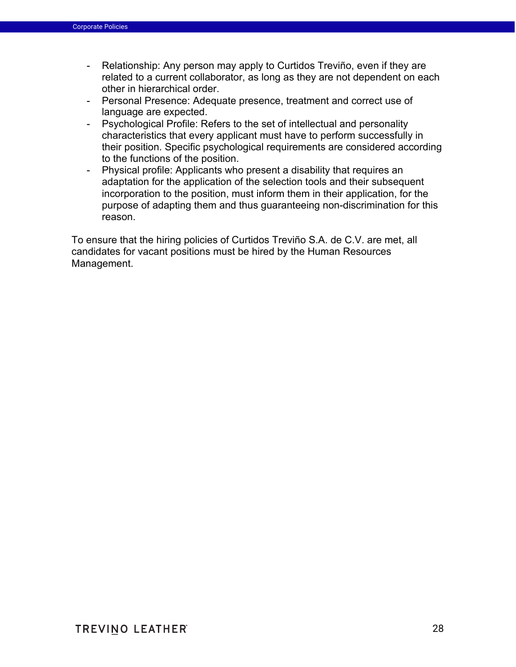- Relationship: Any person may apply to Curtidos Treviño, even if they are related to a current collaborator, as long as they are not dependent on each other in hierarchical order.
- Personal Presence: Adequate presence, treatment and correct use of language are expected.
- Psychological Profile: Refers to the set of intellectual and personality characteristics that every applicant must have to perform successfully in their position. Specific psychological requirements are considered according to the functions of the position.
- Physical profile: Applicants who present a disability that requires an adaptation for the application of the selection tools and their subsequent incorporation to the position, must inform them in their application, for the purpose of adapting them and thus guaranteeing non-discrimination for this reason.

To ensure that the hiring policies of Curtidos Treviño S.A. de C.V. are met, all candidates for vacant positions must be hired by the Human Resources Management.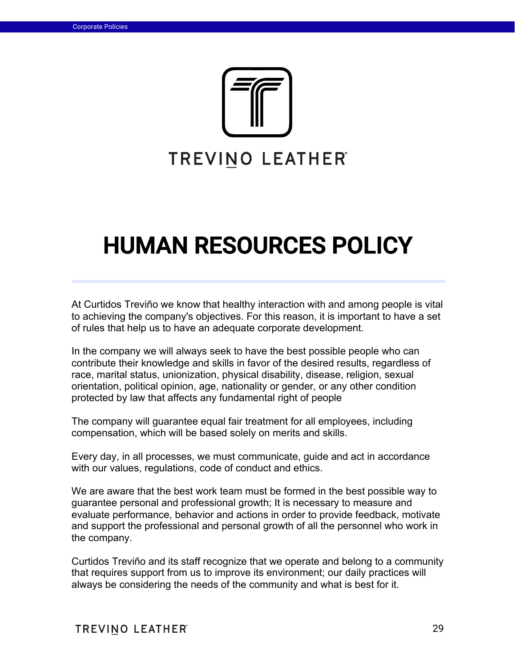

# HUMAN RESOURCES POLICY

At Curtidos Treviño we know that healthy interaction with and among people is vital to achieving the company's objectives. For this reason, it is important to have a set of rules that help us to have an adequate corporate development.

In the company we will always seek to have the best possible people who can contribute their knowledge and skills in favor of the desired results, regardless of race, marital status, unionization, physical disability, disease, religion, sexual orientation, political opinion, age, nationality or gender, or any other condition protected by law that affects any fundamental right of people

The company will guarantee equal fair treatment for all employees, including compensation, which will be based solely on merits and skills.

Every day, in all processes, we must communicate, guide and act in accordance with our values, regulations, code of conduct and ethics.

We are aware that the best work team must be formed in the best possible way to guarantee personal and professional growth; It is necessary to measure and evaluate performance, behavior and actions in order to provide feedback, motivate and support the professional and personal growth of all the personnel who work in the company.

Curtidos Treviño and its staff recognize that we operate and belong to a community that requires support from us to improve its environment; our daily practices will always be considering the needs of the community and what is best for it.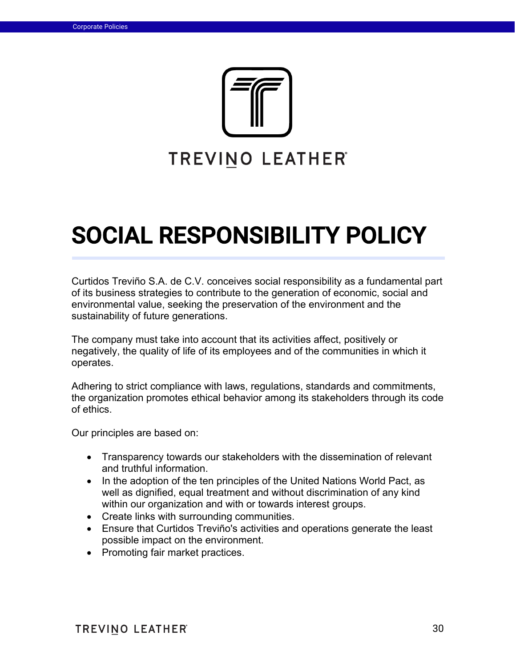

# SOCIAL RESPONSIBILITY POLICY

Curtidos Treviño S.A. de C.V. conceives social responsibility as a fundamental part of its business strategies to contribute to the generation of economic, social and environmental value, seeking the preservation of the environment and the sustainability of future generations.

The company must take into account that its activities affect, positively or negatively, the quality of life of its employees and of the communities in which it operates.

Adhering to strict compliance with laws, regulations, standards and commitments, the organization promotes ethical behavior among its stakeholders through its code of ethics.

Our principles are based on:

- Transparency towards our stakeholders with the dissemination of relevant and truthful information.
- In the adoption of the ten principles of the United Nations World Pact, as well as dignified, equal treatment and without discrimination of any kind within our organization and with or towards interest groups.
- Create links with surrounding communities.
- Ensure that Curtidos Treviño's activities and operations generate the least possible impact on the environment.
- Promoting fair market practices.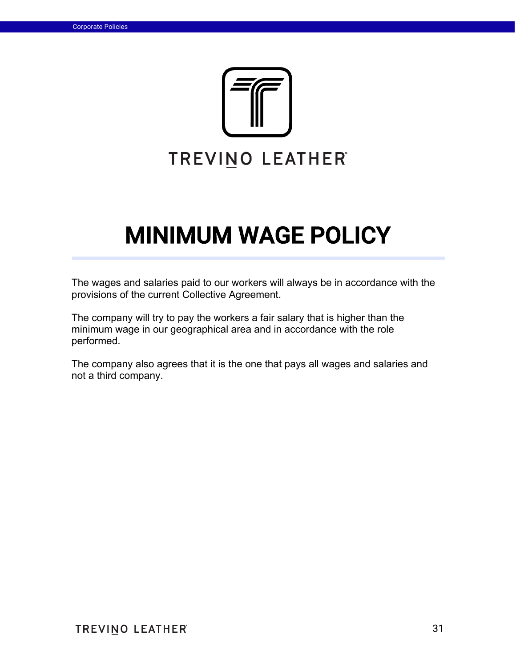

# MINIMUM WAGE POLICY

The wages and salaries paid to our workers will always be in accordance with the provisions of the current Collective Agreement.

The company will try to pay the workers a fair salary that is higher than the minimum wage in our geographical area and in accordance with the role performed.

The company also agrees that it is the one that pays all wages and salaries and not a third company.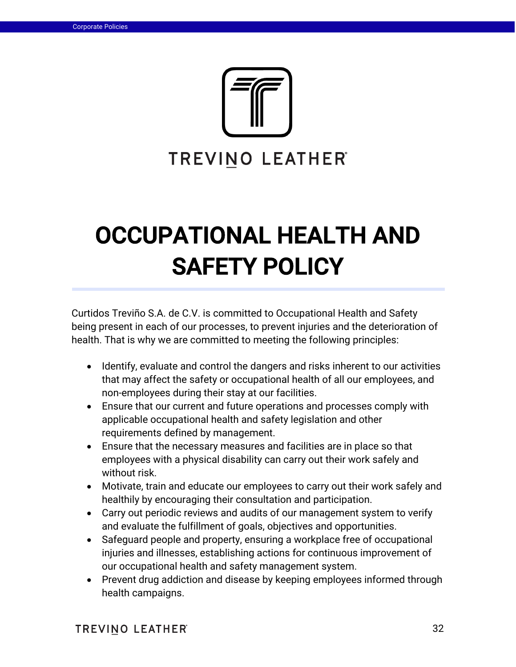

# OCCUPATIONAL HEALTH AND SAFETY POLICY

Curtidos Treviño S.A. de C.V. is committed to Occupational Health and Safety being present in each of our processes, to prevent injuries and the deterioration of health. That is why we are committed to meeting the following principles:

- Identify, evaluate and control the dangers and risks inherent to our activities that may affect the safety or occupational health of all our employees, and non-employees during their stay at our facilities.
- Ensure that our current and future operations and processes comply with applicable occupational health and safety legislation and other requirements defined by management.
- Ensure that the necessary measures and facilities are in place so that employees with a physical disability can carry out their work safely and without risk.
- Motivate, train and educate our employees to carry out their work safely and healthily by encouraging their consultation and participation.
- Carry out periodic reviews and audits of our management system to verify and evaluate the fulfillment of goals, objectives and opportunities.
- Safeguard people and property, ensuring a workplace free of occupational injuries and illnesses, establishing actions for continuous improvement of our occupational health and safety management system.
- Prevent drug addiction and disease by keeping employees informed through health campaigns.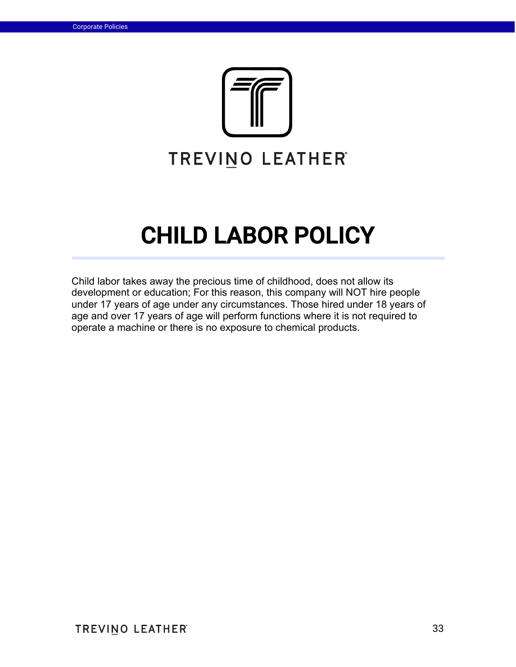

# CHILD LABOR POLICY

Child labor takes away the precious time of childhood, does not allow its development or education; For this reason, this company will NOT hire people under 17 years of age under any circumstances. Those hired under 18 years of age and over 17 years of age will perform functions where it is not required to operate a machine or there is no exposure to chemical products.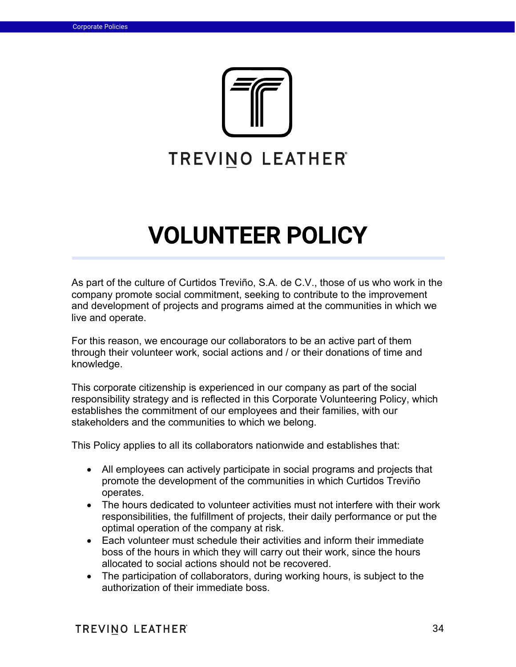

# VOLUNTEER POLICY

As part of the culture of Curtidos Treviño, S.A. de C.V., those of us who work in the company promote social commitment, seeking to contribute to the improvement and development of projects and programs aimed at the communities in which we live and operate.

For this reason, we encourage our collaborators to be an active part of them through their volunteer work, social actions and / or their donations of time and knowledge.

This corporate citizenship is experienced in our company as part of the social responsibility strategy and is reflected in this Corporate Volunteering Policy, which establishes the commitment of our employees and their families, with our stakeholders and the communities to which we belong.

This Policy applies to all its collaborators nationwide and establishes that:

- All employees can actively participate in social programs and projects that promote the development of the communities in which Curtidos Treviño operates.
- The hours dedicated to volunteer activities must not interfere with their work responsibilities, the fulfillment of projects, their daily performance or put the optimal operation of the company at risk.
- Each volunteer must schedule their activities and inform their immediate boss of the hours in which they will carry out their work, since the hours allocated to social actions should not be recovered.
- The participation of collaborators, during working hours, is subject to the authorization of their immediate boss.